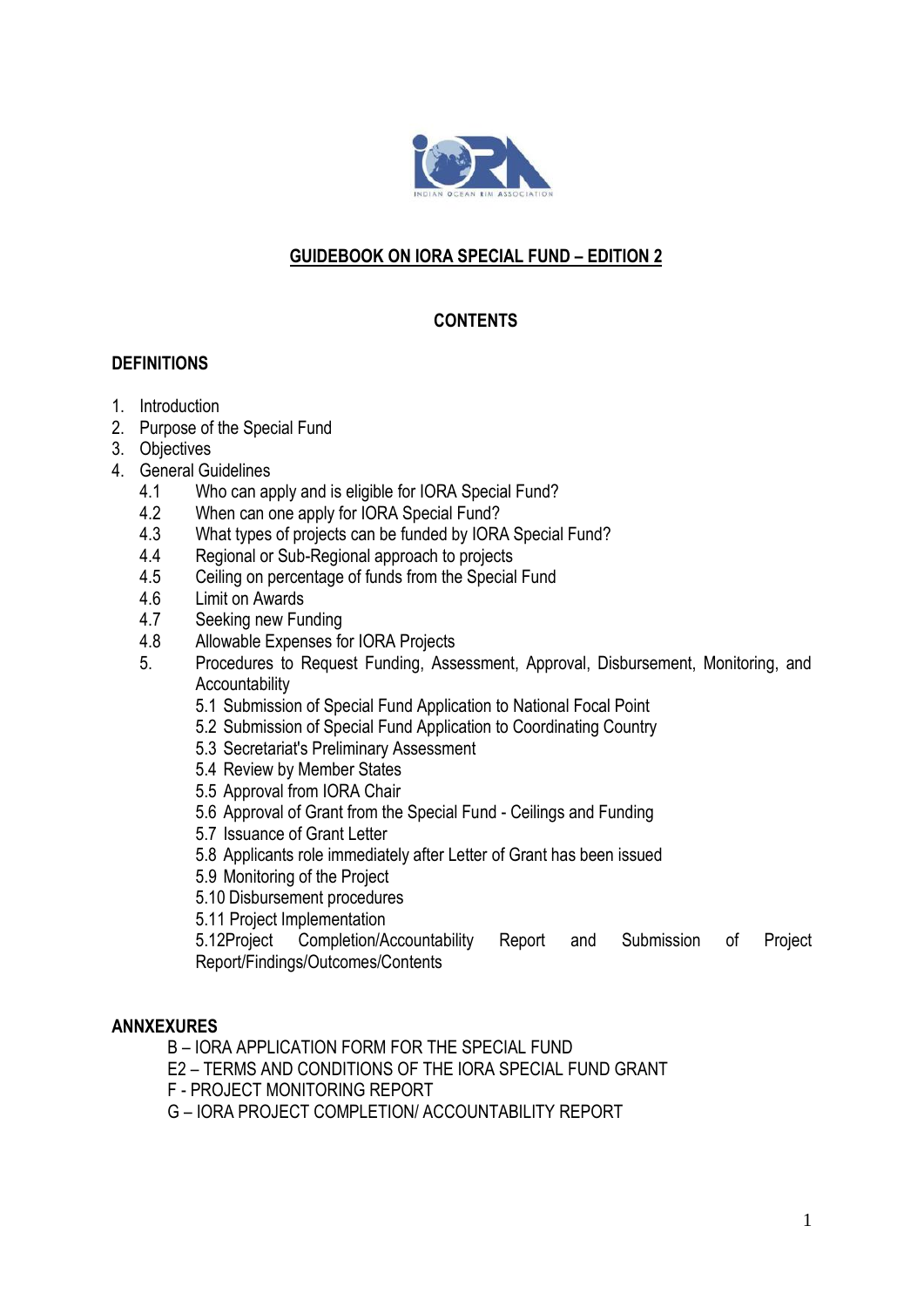

## **GUIDEBOOK ON IORA SPECIAL FUND – EDITION 2**

# **CONTENTS**

### **DEFINITIONS**

- 1. Introduction
- 2. Purpose of the Special Fund
- 3. Objectives
- 4. General Guidelines
	- 4.1 Who can apply and is eligible for IORA Special Fund?
	- 4.2 When can one apply for IORA Special Fund?
	- 4.3 What types of projects can be funded by IORA Special Fund?
	- 4.4 Regional or Sub-Regional approach to projects
	- 4.5 Ceiling on percentage of funds from the Special Fund
	- 4.6 Limit on Awards
	- 4.7 Seeking new Funding
	- 4.8 Allowable Expenses for IORA Projects
	- 5. Procedures to Request Funding, Assessment, Approval, Disbursement, Monitoring, and **Accountability** 
		- 5.1 Submission of Special Fund Application to National Focal Point
		- 5.2 Submission of Special Fund Application to Coordinating Country
		- 5.3 Secretariat's Preliminary Assessment
		- 5.4 Review by Member States
		- 5.5 Approval from IORA Chair
		- 5.6 Approval of Grant from the Special Fund Ceilings and Funding
		- 5.7 Issuance of Grant Letter
		- 5.8 Applicants role immediately after Letter of Grant has been issued
		- 5.9 Monitoring of the Project
		- 5.10 Disbursement procedures

5.11 Project Implementation

5.12Project Completion/Accountability Report and Submission of Project Report/Findings/Outcomes/Contents

### **ANNXEXURES**

- B IORA APPLICATION FORM FOR THE SPECIAL FUND
- E2 TERMS AND CONDITIONS OF THE IORA SPECIAL FUND GRANT
- F PROJECT MONITORING REPORT
- G IORA PROJECT COMPLETION/ ACCOUNTABILITY REPORT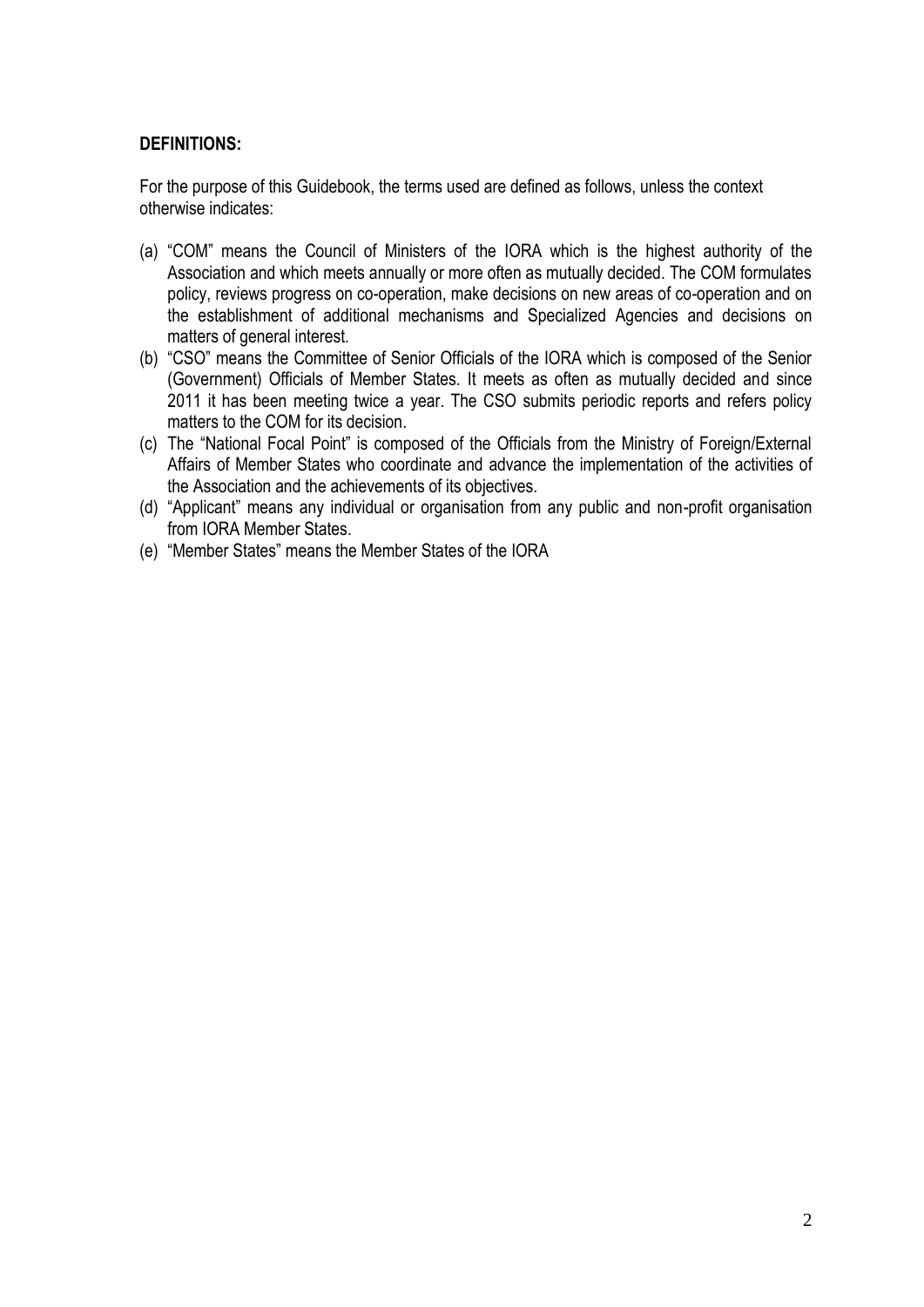## **DEFINITIONS:**

For the purpose of this Guidebook, the terms used are defined as follows, unless the context otherwise indicates:

- (a) "COM" means the Council of Ministers of the IORA which is the highest authority of the Association and which meets annually or more often as mutually decided. The COM formulates policy, reviews progress on co-operation, make decisions on new areas of co-operation and on the establishment of additional mechanisms and Specialized Agencies and decisions on matters of general interest.
- (b) "CSO" means the Committee of Senior Officials of the IORA which is composed of the Senior (Government) Officials of Member States. It meets as often as mutually decided and since 2011 it has been meeting twice a year. The CSO submits periodic reports and refers policy matters to the COM for its decision.
- (c) The "National Focal Point" is composed of the Officials from the Ministry of Foreign/External Affairs of Member States who coordinate and advance the implementation of the activities of the Association and the achievements of its objectives.
- (d) "Applicant" means any individual or organisation from any public and non-profit organisation from IORA Member States.
- (e) "Member States" means the Member States of the IORA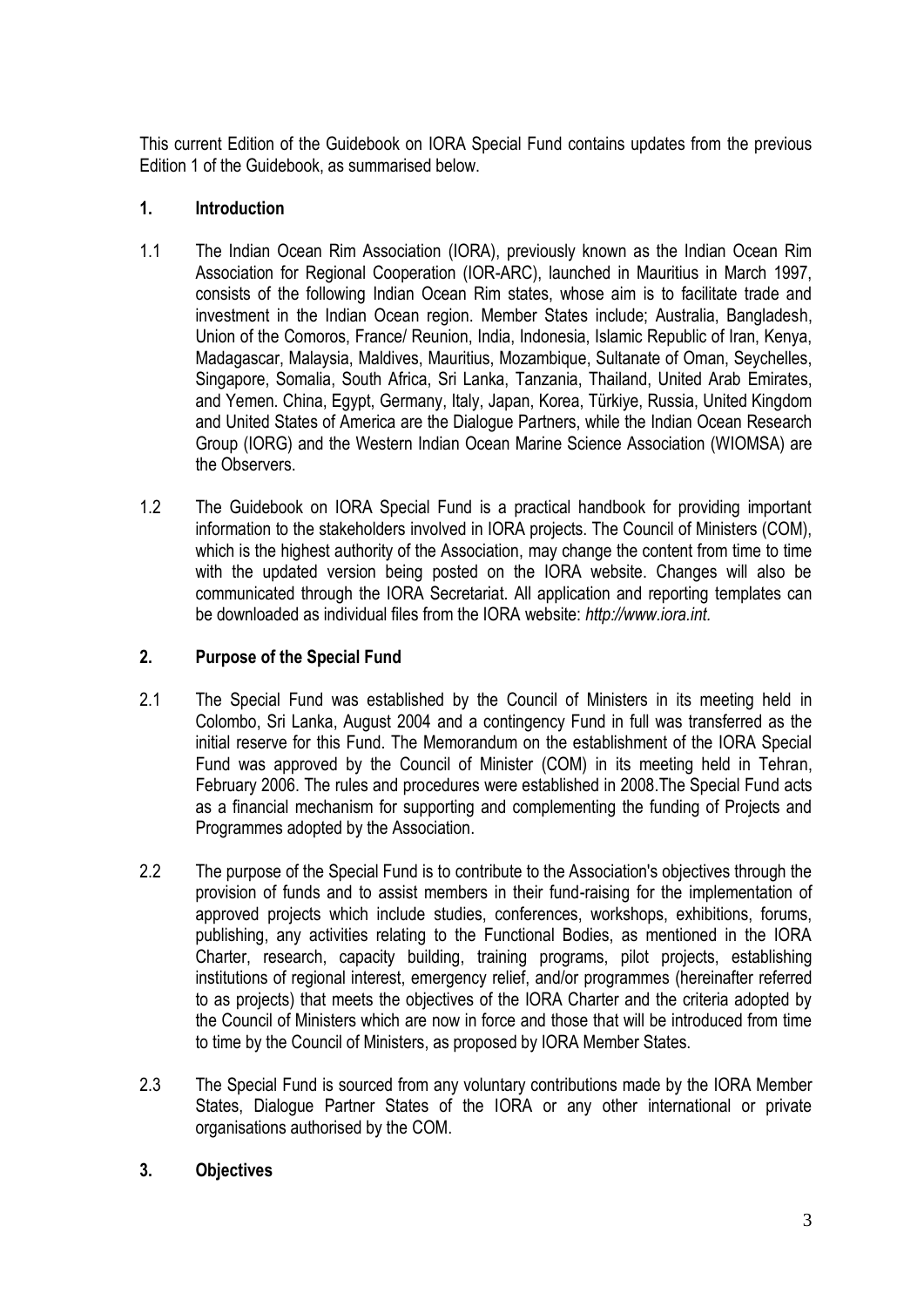This current Edition of the Guidebook on IORA Special Fund contains updates from the previous Edition 1 of the Guidebook, as summarised below.

## **1. Introduction**

- 1.1 The Indian Ocean Rim Association (IORA), previously known as the Indian Ocean Rim Association for Regional Cooperation (IOR-ARC), launched in Mauritius in March 1997, consists of the following Indian Ocean Rim states, whose aim is to facilitate trade and investment in the Indian Ocean region. Member States include; Australia, Bangladesh, Union of the Comoros, France/ Reunion, India, Indonesia, Islamic Republic of Iran, Kenya, Madagascar, Malaysia, Maldives, Mauritius, Mozambique, Sultanate of Oman, Seychelles, Singapore, Somalia, South Africa, Sri Lanka, Tanzania, Thailand, United Arab Emirates, and Yemen. China, Egypt, Germany, Italy, Japan, Korea, Türkiye, Russia, United Kingdom and United States of America are the Dialogue Partners, while the Indian Ocean Research Group (IORG) and the Western Indian Ocean Marine Science Association (WIOMSA) are the Observers.
- 1.2 The Guidebook on IORA Special Fund is a practical handbook for providing important information to the stakeholders involved in IORA projects. The Council of Ministers (COM), which is the highest authority of the Association, may change the content from time to time with the updated version being posted on the IORA website. Changes will also be communicated through the IORA Secretariat. All application and reporting templates can be downloaded as individual files from the IORA website: *http://www.iora.int.*

## **2. Purpose of the Special Fund**

- 2.1 The Special Fund was established by the Council of Ministers in its meeting held in Colombo, Sri Lanka, August 2004 and a contingency Fund in full was transferred as the initial reserve for this Fund. The Memorandum on the establishment of the IORA Special Fund was approved by the Council of Minister (COM) in its meeting held in Tehran, February 2006. The rules and procedures were established in 2008.The Special Fund acts as a financial mechanism for supporting and complementing the funding of Projects and Programmes adopted by the Association.
- 2.2 The purpose of the Special Fund is to contribute to the Association's objectives through the provision of funds and to assist members in their fund-raising for the implementation of approved projects which include studies, conferences, workshops, exhibitions, forums, publishing, any activities relating to the Functional Bodies, as mentioned in the IORA Charter, research, capacity building, training programs, pilot projects, establishing institutions of regional interest, emergency relief, and/or programmes (hereinafter referred to as projects) that meets the objectives of the IORA Charter and the criteria adopted by the Council of Ministers which are now in force and those that will be introduced from time to time by the Council of Ministers, as proposed by IORA Member States.
- 2.3 The Special Fund is sourced from any voluntary contributions made by the IORA Member States, Dialogue Partner States of the IORA or any other international or private organisations authorised by the COM.

## **3. Objectives**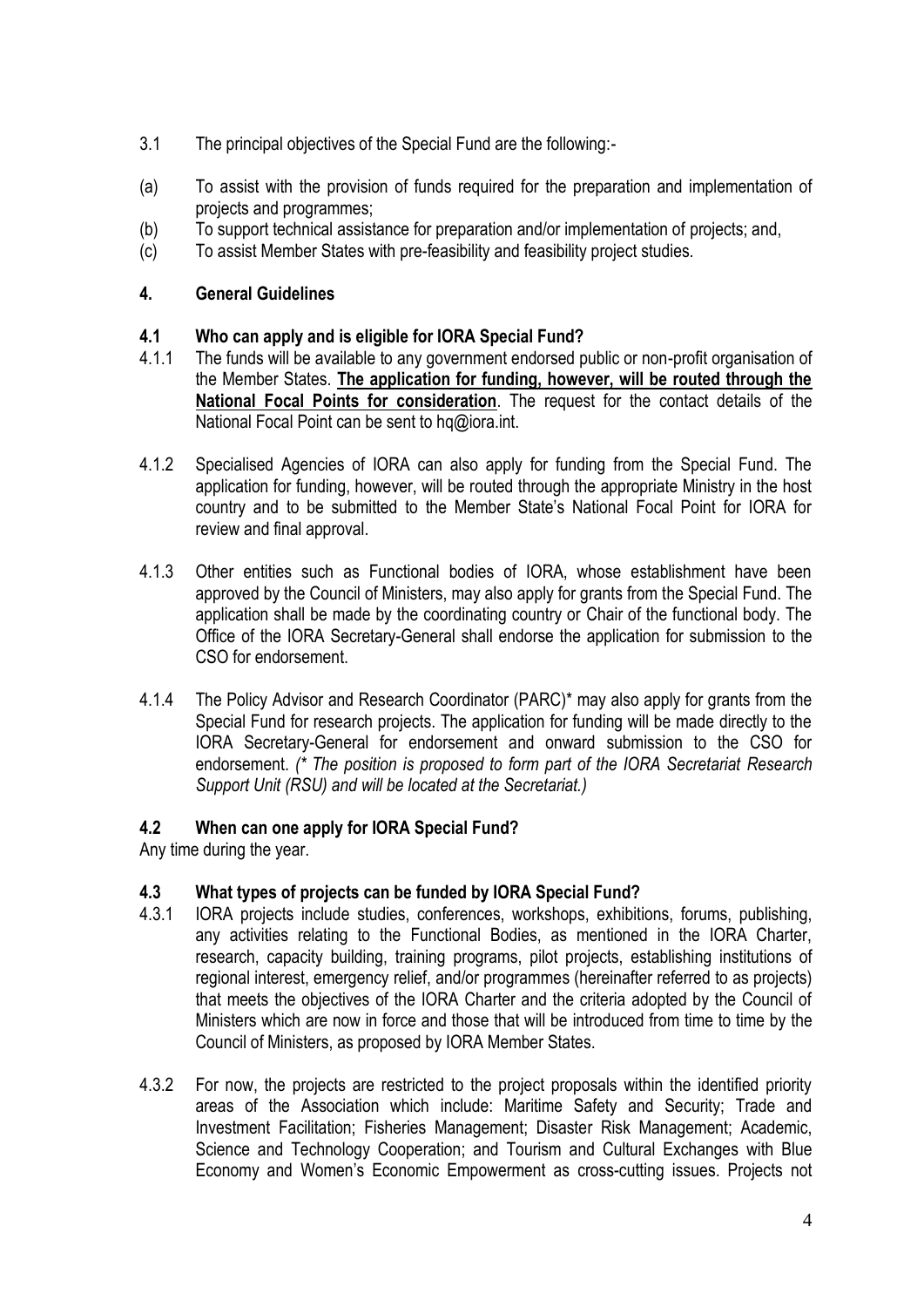- 3.1 The principal objectives of the Special Fund are the following:-
- (a) To assist with the provision of funds required for the preparation and implementation of projects and programmes;
- (b) To support technical assistance for preparation and/or implementation of projects; and,
- (c) To assist Member States with pre-feasibility and feasibility project studies.

## **4. General Guidelines**

## **4.1 Who can apply and is eligible for IORA Special Fund?**

- 4.1.1 The funds will be available to any government endorsed public or non-profit organisation of the Member States. **The application for funding, however, will be routed through the National Focal Points for consideration**. The request for the contact details of the National Focal Point can be sent to hq@iora.int.
- 4.1.2 Specialised Agencies of IORA can also apply for funding from the Special Fund. The application for funding, however, will be routed through the appropriate Ministry in the host country and to be submitted to the Member State's National Focal Point for IORA for review and final approval.
- 4.1.3 Other entities such as Functional bodies of IORA, whose establishment have been approved by the Council of Ministers, may also apply for grants from the Special Fund. The application shall be made by the coordinating country or Chair of the functional body. The Office of the IORA Secretary-General shall endorse the application for submission to the CSO for endorsement.
- 4.1.4 The Policy Advisor and Research Coordinator (PARC)\* may also apply for grants from the Special Fund for research projects. The application for funding will be made directly to the IORA Secretary-General for endorsement and onward submission to the CSO for endorsement. *(\* The position is proposed to form part of the IORA Secretariat Research Support Unit (RSU) and will be located at the Secretariat.)*

## **4.2 When can one apply for IORA Special Fund?**

Any time during the year.

## **4.3 What types of projects can be funded by IORA Special Fund?**

- 4.3.1 IORA projects include studies, conferences, workshops, exhibitions, forums, publishing, any activities relating to the Functional Bodies, as mentioned in the IORA Charter, research, capacity building, training programs, pilot projects, establishing institutions of regional interest, emergency relief, and/or programmes (hereinafter referred to as projects) that meets the objectives of the IORA Charter and the criteria adopted by the Council of Ministers which are now in force and those that will be introduced from time to time by the Council of Ministers, as proposed by IORA Member States.
- 4.3.2 For now, the projects are restricted to the project proposals within the identified priority areas of the Association which include: Maritime Safety and Security; Trade and Investment Facilitation; Fisheries Management; Disaster Risk Management; Academic, Science and Technology Cooperation; and Tourism and Cultural Exchanges with Blue Economy and Women's Economic Empowerment as cross-cutting issues. Projects not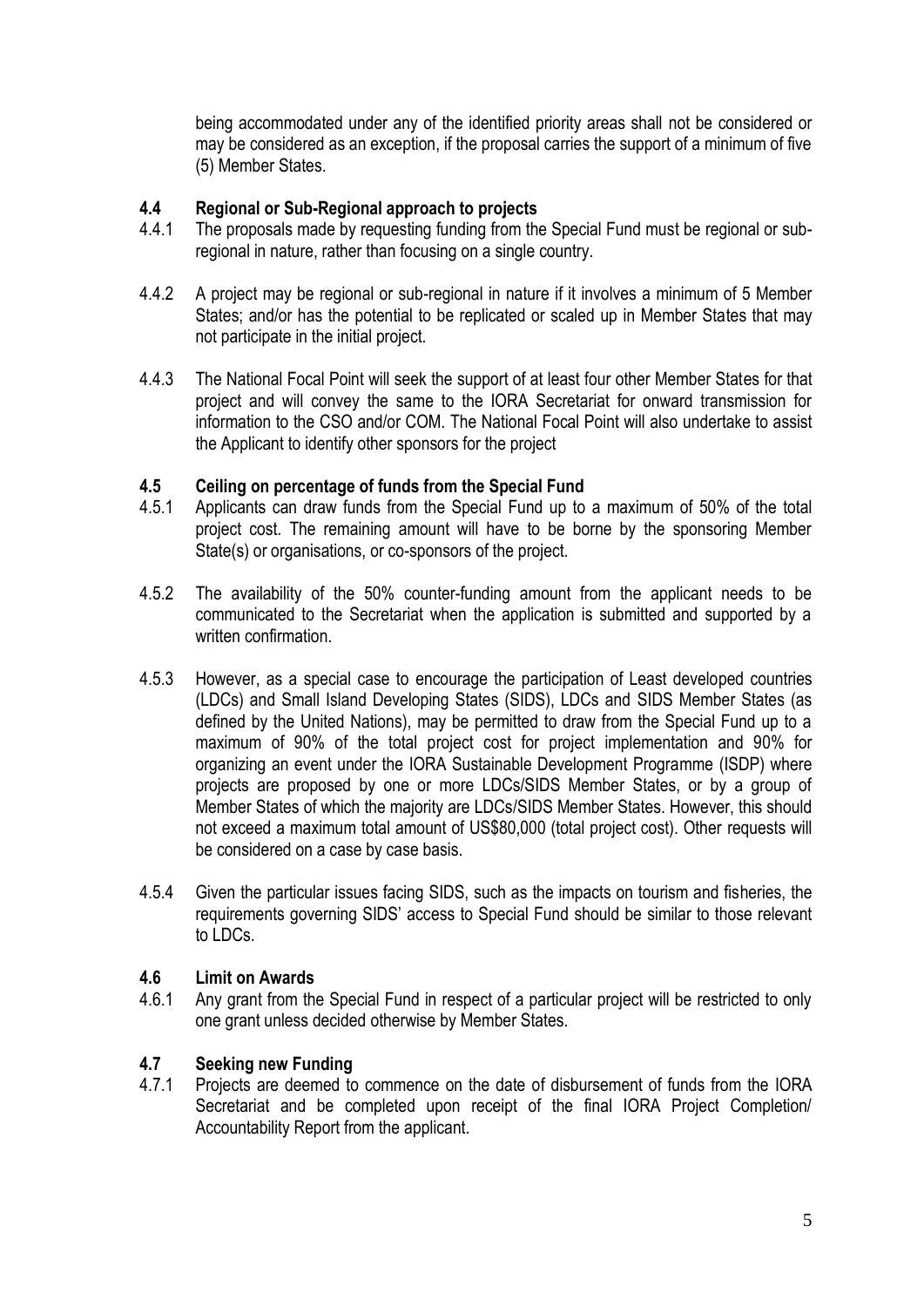being accommodated under any of the identified priority areas shall not be considered or may be considered as an exception, if the proposal carries the support of a minimum of five (5) Member States.

### **4.4 Regional or Sub-Regional approach to projects**

- 4.4.1 The proposals made by requesting funding from the Special Fund must be regional or subregional in nature, rather than focusing on a single country.
- 4.4.2 A project may be regional or sub-regional in nature if it involves a minimum of 5 Member States; and/or has the potential to be replicated or scaled up in Member States that may not participate in the initial project.
- 4.4.3 The National Focal Point will seek the support of at least four other Member States for that project and will convey the same to the IORA Secretariat for onward transmission for information to the CSO and/or COM. The National Focal Point will also undertake to assist the Applicant to identify other sponsors for the project

### **4.5 Ceiling on percentage of funds from the Special Fund**

- 4.5.1 Applicants can draw funds from the Special Fund up to a maximum of 50% of the total project cost. The remaining amount will have to be borne by the sponsoring Member State(s) or organisations, or co-sponsors of the project.
- 4.5.2 The availability of the 50% counter-funding amount from the applicant needs to be communicated to the Secretariat when the application is submitted and supported by a written confirmation.
- 4.5.3 However, as a special case to encourage the participation of Least developed countries (LDCs) and Small Island Developing States (SIDS), LDCs and SIDS Member States (as defined by the United Nations), may be permitted to draw from the Special Fund up to a maximum of 90% of the total project cost for project implementation and 90% for organizing an event under the IORA Sustainable Development Programme (ISDP) where projects are proposed by one or more LDCs/SIDS Member States, or by a group of Member States of which the majority are LDCs/SIDS Member States. However, this should not exceed a maximum total amount of US\$80,000 (total project cost). Other requests will be considered on a case by case basis.
- 4.5.4 Given the particular issues facing SIDS, such as the impacts on tourism and fisheries, the requirements governing SIDS' access to Special Fund should be similar to those relevant to LDCs.

### **4.6 Limit on Awards**

4.6.1 Any grant from the Special Fund in respect of a particular project will be restricted to only one grant unless decided otherwise by Member States.

## **4.7 Seeking new Funding**

4.7.1 Projects are deemed to commence on the date of disbursement of funds from the IORA Secretariat and be completed upon receipt of the final IORA Project Completion/ Accountability Report from the applicant.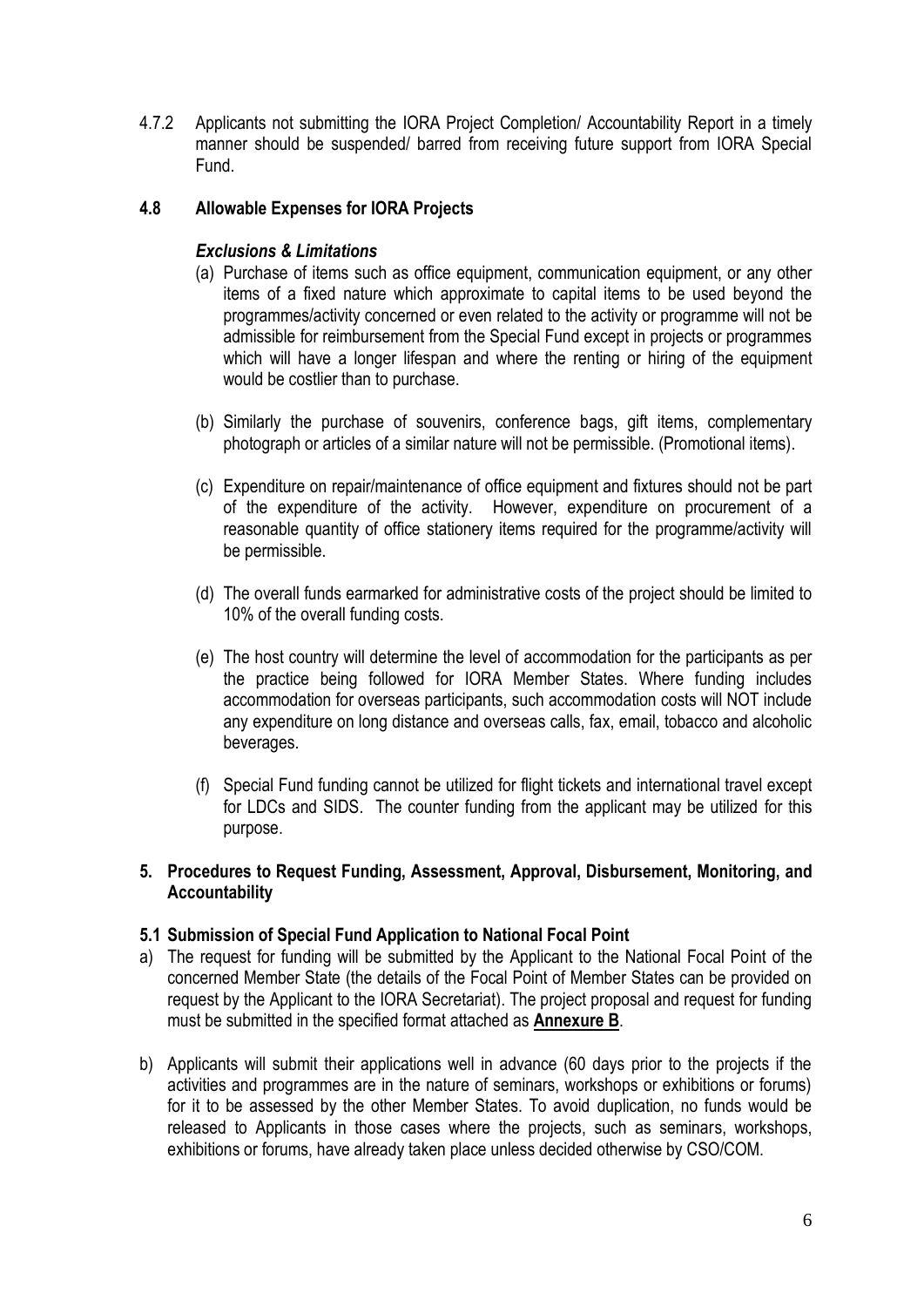4.7.2 Applicants not submitting the IORA Project Completion/ Accountability Report in a timely manner should be suspended/ barred from receiving future support from IORA Special Fund.

### **4.8 Allowable Expenses for IORA Projects**

### *Exclusions & Limitations*

- (a) Purchase of items such as office equipment, communication equipment, or any other items of a fixed nature which approximate to capital items to be used beyond the programmes/activity concerned or even related to the activity or programme will not be admissible for reimbursement from the Special Fund except in projects or programmes which will have a longer lifespan and where the renting or hiring of the equipment would be costlier than to purchase.
- (b) Similarly the purchase of souvenirs, conference bags, gift items, complementary photograph or articles of a similar nature will not be permissible. (Promotional items).
- (c) Expenditure on repair/maintenance of office equipment and fixtures should not be part of the expenditure of the activity. However, expenditure on procurement of a reasonable quantity of office stationery items required for the programme/activity will be permissible.
- (d) The overall funds earmarked for administrative costs of the project should be limited to 10% of the overall funding costs.
- (e) The host country will determine the level of accommodation for the participants as per the practice being followed for IORA Member States. Where funding includes accommodation for overseas participants, such accommodation costs will NOT include any expenditure on long distance and overseas calls, fax, email, tobacco and alcoholic beverages.
- (f) Special Fund funding cannot be utilized for flight tickets and international travel except for LDCs and SIDS. The counter funding from the applicant may be utilized for this purpose.

#### **5. Procedures to Request Funding, Assessment, Approval, Disbursement, Monitoring, and Accountability**

#### **5.1 Submission of Special Fund Application to National Focal Point**

- a) The request for funding will be submitted by the Applicant to the National Focal Point of the concerned Member State (the details of the Focal Point of Member States can be provided on request by the Applicant to the IORA Secretariat). The project proposal and request for funding must be submitted in the specified format attached as **Annexure B**.
- b) Applicants will submit their applications well in advance (60 days prior to the projects if the activities and programmes are in the nature of seminars, workshops or exhibitions or forums) for it to be assessed by the other Member States. To avoid duplication, no funds would be released to Applicants in those cases where the projects, such as seminars, workshops, exhibitions or forums, have already taken place unless decided otherwise by CSO/COM.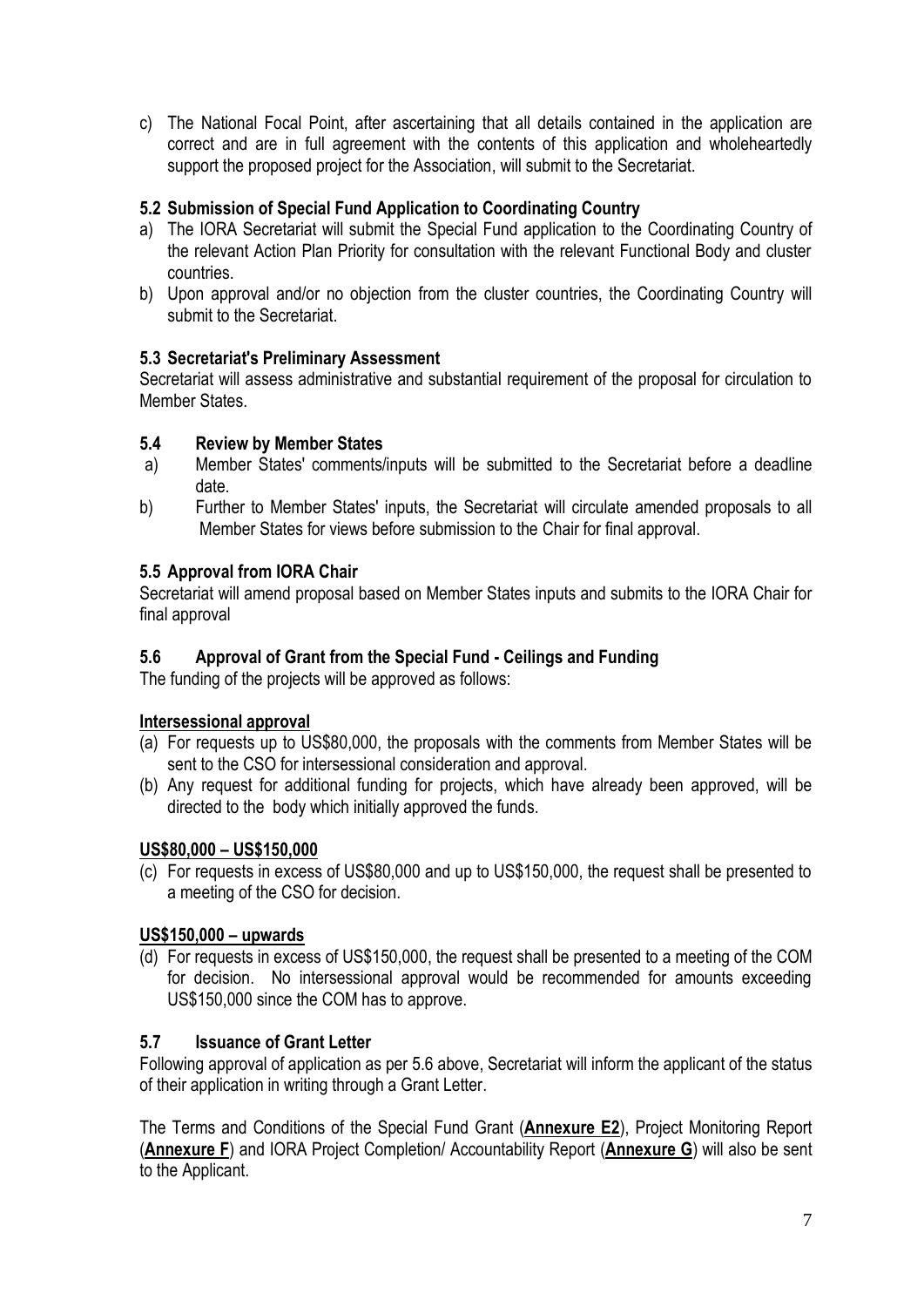c) The National Focal Point, after ascertaining that all details contained in the application are correct and are in full agreement with the contents of this application and wholeheartedly support the proposed project for the Association, will submit to the Secretariat.

## **5.2 Submission of Special Fund Application to Coordinating Country**

- a) The IORA Secretariat will submit the Special Fund application to the Coordinating Country of the relevant Action Plan Priority for consultation with the relevant Functional Body and cluster countries.
- b) Upon approval and/or no objection from the cluster countries, the Coordinating Country will submit to the Secretariat.

# **5.3 Secretariat's Preliminary Assessment**

Secretariat will assess administrative and substantial requirement of the proposal for circulation to Member States.

## **5.4 Review by Member States**

- a) Member States' comments/inputs will be submitted to the Secretariat before a deadline date.
- b) Further to Member States' inputs, the Secretariat will circulate amended proposals to all Member States for views before submission to the Chair for final approval.

# **5.5 Approval from IORA Chair**

Secretariat will amend proposal based on Member States inputs and submits to the IORA Chair for final approval

## **5.6 Approval of Grant from the Special Fund - Ceilings and Funding**

The funding of the projects will be approved as follows:

## **Intersessional approval**

- (a) For requests up to US\$80,000, the proposals with the comments from Member States will be sent to the CSO for intersessional consideration and approval.
- (b) Any request for additional funding for projects, which have already been approved, will be directed to the body which initially approved the funds.

## **US\$80,000 – US\$150,000**

(c) For requests in excess of US\$80,000 and up to US\$150,000, the request shall be presented to a meeting of the CSO for decision.

# **US\$150,000 – upwards**

(d) For requests in excess of US\$150,000, the request shall be presented to a meeting of the COM for decision. No intersessional approval would be recommended for amounts exceeding US\$150,000 since the COM has to approve.

## **5.7 Issuance of Grant Letter**

Following approval of application as per 5.6 above, Secretariat will inform the applicant of the status of their application in writing through a Grant Letter.

The Terms and Conditions of the Special Fund Grant (**Annexure E2**), Project Monitoring Report (**Annexure F**) and IORA Project Completion/ Accountability Report (**Annexure G**) will also be sent to the Applicant.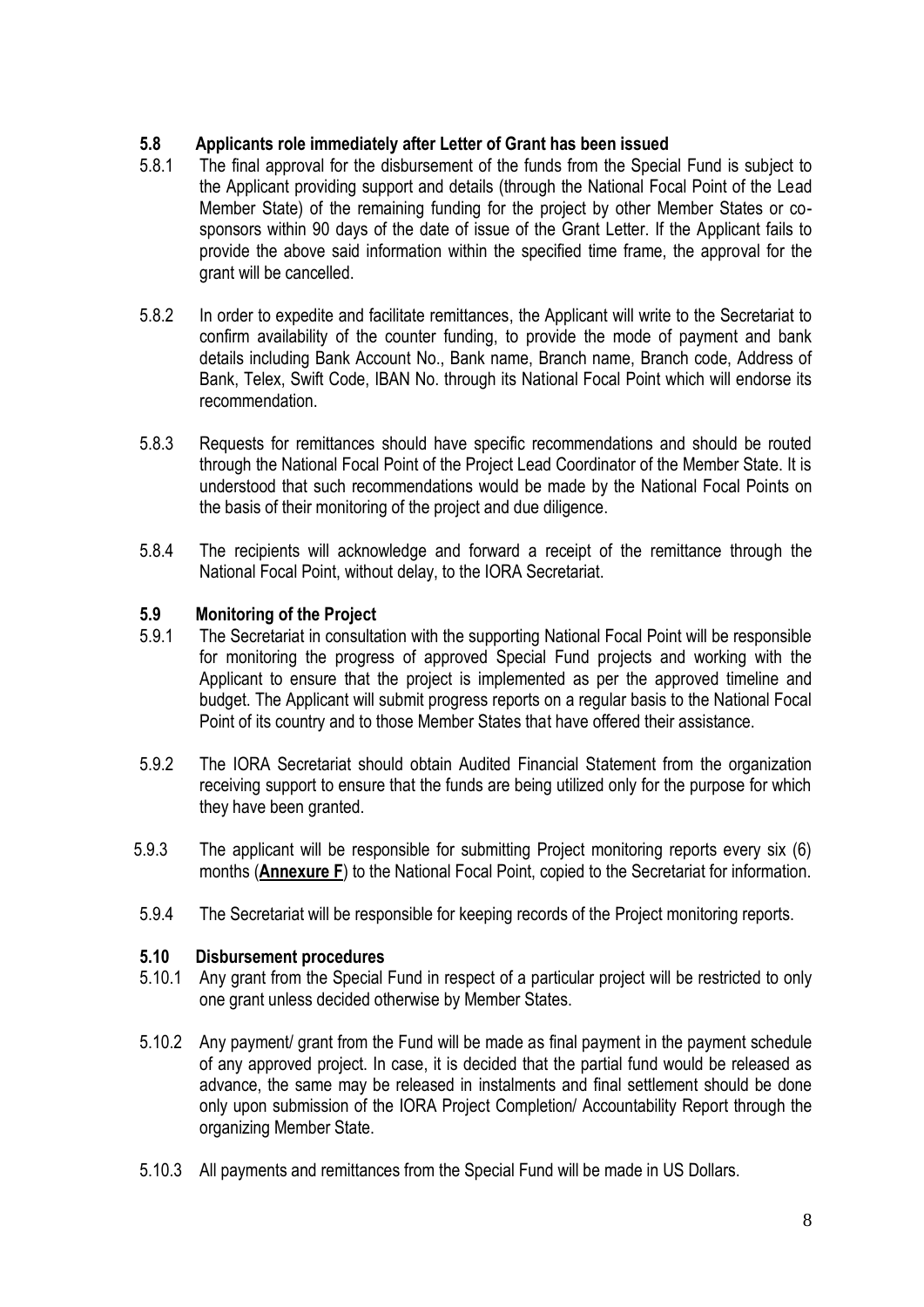## **5.8 Applicants role immediately after Letter of Grant has been issued**

- 5.8.1 The final approval for the disbursement of the funds from the Special Fund is subject to the Applicant providing support and details (through the National Focal Point of the Lead Member State) of the remaining funding for the project by other Member States or cosponsors within 90 days of the date of issue of the Grant Letter. If the Applicant fails to provide the above said information within the specified time frame, the approval for the grant will be cancelled.
- 5.8.2 In order to expedite and facilitate remittances, the Applicant will write to the Secretariat to confirm availability of the counter funding, to provide the mode of payment and bank details including Bank Account No., Bank name, Branch name, Branch code, Address of Bank, Telex, Swift Code, IBAN No. through its National Focal Point which will endorse its recommendation.
- 5.8.3 Requests for remittances should have specific recommendations and should be routed through the National Focal Point of the Project Lead Coordinator of the Member State. It is understood that such recommendations would be made by the National Focal Points on the basis of their monitoring of the project and due diligence.
- 5.8.4 The recipients will acknowledge and forward a receipt of the remittance through the National Focal Point, without delay, to the IORA Secretariat.

### **5.9 Monitoring of the Project**

- 5.9.1 The Secretariat in consultation with the supporting National Focal Point will be responsible for monitoring the progress of approved Special Fund projects and working with the Applicant to ensure that the project is implemented as per the approved timeline and budget. The Applicant will submit progress reports on a regular basis to the National Focal Point of its country and to those Member States that have offered their assistance.
- 5.9.2 The IORA Secretariat should obtain Audited Financial Statement from the organization receiving support to ensure that the funds are being utilized only for the purpose for which they have been granted.
- 5.9.3 The applicant will be responsible for submitting Project monitoring reports every six (6) months (**Annexure F**) to the National Focal Point, copied to the Secretariat for information.
- 5.9.4 The Secretariat will be responsible for keeping records of the Project monitoring reports.

### **5.10 Disbursement procedures**

- 5.10.1 Any grant from the Special Fund in respect of a particular project will be restricted to only one grant unless decided otherwise by Member States.
- 5.10.2 Any payment/ grant from the Fund will be made as final payment in the payment schedule of any approved project. In case, it is decided that the partial fund would be released as advance, the same may be released in instalments and final settlement should be done only upon submission of the IORA Project Completion/ Accountability Report through the organizing Member State.
- 5.10.3 All payments and remittances from the Special Fund will be made in US Dollars.